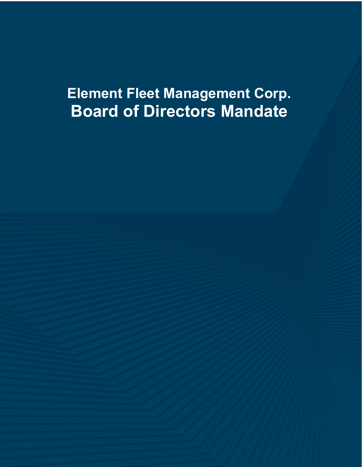# **Element Fleet Management Corp. Board of Directors Mandate**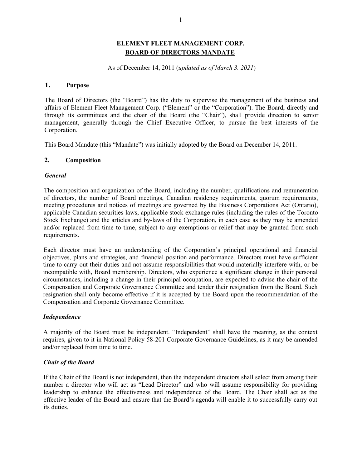# **ELEMENT FLEET MANAGEMENT CORP. BOARD OF DIRECTORS MANDATE**

As of December 14, 2011 (*updated as of March 3. 2021*)

#### **1. Purpose**

The Board of Directors (the "Board") has the duty to supervise the management of the business and affairs of Element Fleet Management Corp. ("Element" or the "Corporation"). The Board, directly and through its committees and the chair of the Board (the "Chair"), shall provide direction to senior management, generally through the Chief Executive Officer, to pursue the best interests of the Corporation.

This Board Mandate (this "Mandate") was initially adopted by the Board on December 14, 2011.

## **2. Composition**

## *General*

The composition and organization of the Board, including the number, qualifications and remuneration of directors, the number of Board meetings, Canadian residency requirements, quorum requirements, meeting procedures and notices of meetings are governed by the Business Corporations Act (Ontario), applicable Canadian securities laws, applicable stock exchange rules (including the rules of the Toronto Stock Exchange) and the articles and by-laws of the Corporation, in each case as they may be amended and/or replaced from time to time, subject to any exemptions or relief that may be granted from such requirements.

Each director must have an understanding of the Corporation's principal operational and financial objectives, plans and strategies, and financial position and performance. Directors must have sufficient time to carry out their duties and not assume responsibilities that would materially interfere with, or be incompatible with, Board membership. Directors, who experience a significant change in their personal circumstances, including a change in their principal occupation, are expected to advise the chair of the Compensation and Corporate Governance Committee and tender their resignation from the Board. Such resignation shall only become effective if it is accepted by the Board upon the recommendation of the Compensation and Corporate Governance Committee.

## *Independence*

A majority of the Board must be independent. "Independent" shall have the meaning, as the context requires, given to it in National Policy 58-201 Corporate Governance Guidelines, as it may be amended and/or replaced from time to time.

## *Chair of the Board*

If the Chair of the Board is not independent, then the independent directors shall select from among their number a director who will act as "Lead Director" and who will assume responsibility for providing leadership to enhance the effectiveness and independence of the Board. The Chair shall act as the effective leader of the Board and ensure that the Board's agenda will enable it to successfully carry out its duties.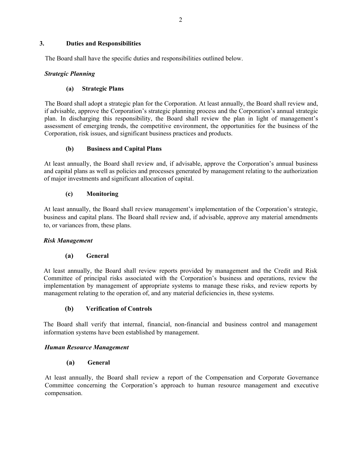## **3. Duties and Responsibilities**

The Board shall have the specific duties and responsibilities outlined below.

## *Strategic Planning*

## **(a) Strategic Plans**

The Board shall adopt a strategic plan for the Corporation. At least annually, the Board shall review and, if advisable, approve the Corporation's strategic planning process and the Corporation's annual strategic plan. In discharging this responsibility, the Board shall review the plan in light of management's assessment of emerging trends, the competitive environment, the opportunities for the business of the Corporation, risk issues, and significant business practices and products.

## **(b) Business and Capital Plans**

At least annually, the Board shall review and, if advisable, approve the Corporation's annual business and capital plans as well as policies and processes generated by management relating to the authorization of major investments and significant allocation of capital.

## **(c) Monitoring**

At least annually, the Board shall review management's implementation of the Corporation's strategic, business and capital plans. The Board shall review and, if advisable, approve any material amendments to, or variances from, these plans.

# *Risk Management*

## **(a) General**

At least annually, the Board shall review reports provided by management and the Credit and Risk Committee of principal risks associated with the Corporation's business and operations, review the implementation by management of appropriate systems to manage these risks, and review reports by management relating to the operation of, and any material deficiencies in, these systems.

# **(b) Verification of Controls**

The Board shall verify that internal, financial, non-financial and business control and management information systems have been established by management.

## *Human Resource Management*

## **(a) General**

At least annually, the Board shall review a report of the Compensation and Corporate Governance Committee concerning the Corporation's approach to human resource management and executive compensation.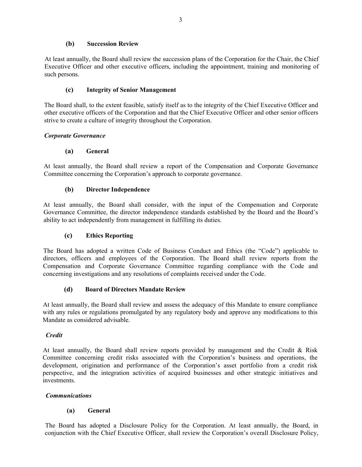## **(b) Succession Review**

At least annually, the Board shall review the succession plans of the Corporation for the Chair, the Chief Executive Officer and other executive officers, including the appointment, training and monitoring of such persons.

## **(c) Integrity of Senior Management**

The Board shall, to the extent feasible, satisfy itself as to the integrity of the Chief Executive Officer and other executive officers of the Corporation and that the Chief Executive Officer and other senior officers strive to create a culture of integrity throughout the Corporation.

## *Corporate Governance*

## **(a) General**

At least annually, the Board shall review a report of the Compensation and Corporate Governance Committee concerning the Corporation's approach to corporate governance.

# **(b) Director Independence**

At least annually, the Board shall consider, with the input of the Compensation and Corporate Governance Committee, the director independence standards established by the Board and the Board's ability to act independently from management in fulfilling its duties.

# **(c) Ethics Reporting**

The Board has adopted a written Code of Business Conduct and Ethics (the "Code") applicable to directors, officers and employees of the Corporation. The Board shall review reports from the Compensation and Corporate Governance Committee regarding compliance with the Code and concerning investigations and any resolutions of complaints received under the Code.

# **(d) Board of Directors Mandate Review**

At least annually, the Board shall review and assess the adequacy of this Mandate to ensure compliance with any rules or regulations promulgated by any regulatory body and approve any modifications to this Mandate as considered advisable.

## *Credit*

At least annually, the Board shall review reports provided by management and the Credit & Risk Committee concerning credit risks associated with the Corporation's business and operations, the development, origination and performance of the Corporation's asset portfolio from a credit risk perspective, and the integration activities of acquired businesses and other strategic initiatives and investments.

# *Communications*

## **(a) General**

The Board has adopted a Disclosure Policy for the Corporation. At least annually, the Board, in conjunction with the Chief Executive Officer, shall review the Corporation's overall Disclosure Policy,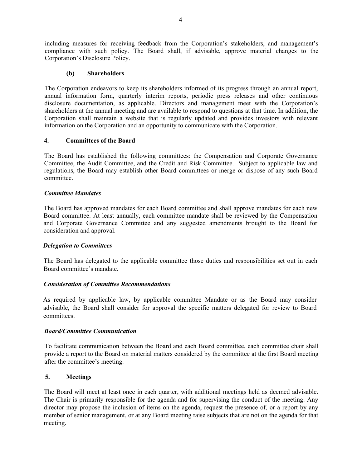including measures for receiving feedback from the Corporation's stakeholders, and management's compliance with such policy. The Board shall, if advisable, approve material changes to the Corporation's Disclosure Policy.

## **(b) Shareholders**

The Corporation endeavors to keep its shareholders informed of its progress through an annual report, annual information form, quarterly interim reports, periodic press releases and other continuous disclosure documentation, as applicable. Directors and management meet with the Corporation's shareholders at the annual meeting and are available to respond to questions at that time. In addition, the Corporation shall maintain a website that is regularly updated and provides investors with relevant information on the Corporation and an opportunity to communicate with the Corporation.

#### **4. Committees of the Board**

The Board has established the following committees: the Compensation and Corporate Governance Committee, the Audit Committee, and the Credit and Risk Committee. Subject to applicable law and regulations, the Board may establish other Board committees or merge or dispose of any such Board committee.

## *Committee Mandates*

The Board has approved mandates for each Board committee and shall approve mandates for each new Board committee. At least annually, each committee mandate shall be reviewed by the Compensation and Corporate Governance Committee and any suggested amendments brought to the Board for consideration and approval.

#### *Delegation to Committees*

The Board has delegated to the applicable committee those duties and responsibilities set out in each Board committee's mandate.

## *Consideration of Committee Recommendations*

As required by applicable law, by applicable committee Mandate or as the Board may consider advisable, the Board shall consider for approval the specific matters delegated for review to Board committees.

## *Board/Committee Communication*

To facilitate communication between the Board and each Board committee, each committee chair shall provide a report to the Board on material matters considered by the committee at the first Board meeting after the committee's meeting.

#### **5. Meetings**

The Board will meet at least once in each quarter, with additional meetings held as deemed advisable. The Chair is primarily responsible for the agenda and for supervising the conduct of the meeting. Any director may propose the inclusion of items on the agenda, request the presence of, or a report by any member of senior management, or at any Board meeting raise subjects that are not on the agenda for that meeting.